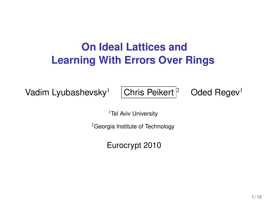## **On Ideal Lattices and Learning With Errors Over Rings**

Vadim Lyubashevsky<sup>1</sup> Chris Peikert <sup>2</sup> Oded Regev<sup>1</sup>

<sup>1</sup>Tel Aviv University

<sup>2</sup>Georgia Institute of Technology

Eurocrypt 2010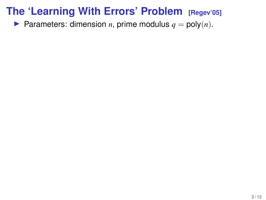**Parameters:** dimension *n*, prime modulus  $q = \text{poly}(n)$ .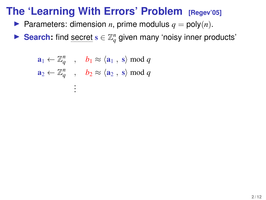- **Parameters:** dimension *n*, prime modulus  $q = \text{poly}(n)$ .
- ► Search: find secret  $s \in \mathbb{Z}_q^n$  given many 'noisy inner products'

$$
\mathbf{a}_1 \leftarrow \mathbb{Z}_q^n \quad , \quad b_1 \approx \langle \mathbf{a}_1 \,, \,\mathbf{s} \rangle \bmod q
$$
\n
$$
\mathbf{a}_2 \leftarrow \mathbb{Z}_q^n \quad , \quad b_2 \approx \langle \mathbf{a}_2 \,, \,\mathbf{s} \rangle \bmod q
$$
\n
$$
\vdots
$$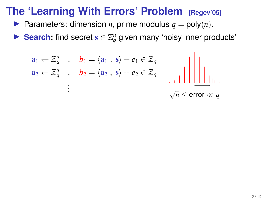- Parameters: dimension *n*, prime modulus  $q = \text{poly}(n)$ .
- ► Search: find secret  $s \in \mathbb{Z}_q^n$  given many 'noisy inner products'

$$
\mathbf{a}_1 \leftarrow \mathbb{Z}_q^n \quad , \quad \mathbf{b}_1 = \langle \mathbf{a}_1 \,, \, \mathbf{s} \rangle + \mathbf{e}_1 \in \mathbb{Z}_q
$$
\n
$$
\mathbf{a}_2 \leftarrow \mathbb{Z}_q^n \quad , \quad \mathbf{b}_2 = \langle \mathbf{a}_2 \,, \, \mathbf{s} \rangle + \mathbf{e}_2 \in \mathbb{Z}_q \quad \text{and} \quad \text{and} \quad \text{and} \quad \text{and} \quad \text{and} \quad \text{and} \quad \text{and} \quad \text{and} \quad \text{and} \quad \text{and} \quad \text{and} \quad \text{and} \quad \text{and} \quad \text{and} \quad \text{and} \quad \text{and} \quad \text{and} \quad \text{and} \quad \text{and} \quad \text{and} \quad \text{and} \quad \text{and} \quad \text{and} \quad \text{and} \quad \text{and} \quad \text{and} \quad \text{and} \quad \text{and} \quad \text{and} \quad \text{and} \quad \text{and} \quad \text{and} \quad \text{and} \quad \text{and} \quad \text{and} \quad \text{and} \quad \text{and} \quad \text{and} \quad \text{and} \quad \text{and} \quad \text{and} \quad \text{and} \quad \text{and} \quad \text{and} \quad \text{and} \quad \text{and} \quad \text{and} \quad \text{and} \quad \text{and} \quad \text{and} \quad \text{and} \quad \text{and} \quad \text{and} \quad \text{and} \quad \text{and} \quad \text{and} \quad \text{and} \quad \text{and} \quad \text{and} \quad \text{and} \quad \text{and} \quad \text{and} \quad \text{and} \quad \text{and} \quad \text{and} \quad \text{and} \quad \text{and} \quad \text{and} \quad \text{and} \quad \text{and} \quad \text{and} \quad \text{and} \quad \text{and} \quad \text{and} \quad \text{and} \quad \text{and} \quad \text{and} \quad \text{and} \quad \text{and} \quad \text{and} \quad \text{and} \quad \text{and} \quad \text{and} \quad \text{and} \quad \text{and} \quad \text{and} \quad \text{and} \quad \text{and
$$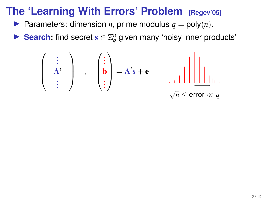- **Parameters:** dimension *n*, prime modulus  $q = \text{poly}(n)$ .
- ► Search: find secret  $s \in \mathbb{Z}_q^n$  given many 'noisy inner products'

 . . . A *t* . . . , . . . b . . . <sup>=</sup> <sup>A</sup> *t* s + e √ *n* ≤ error *q*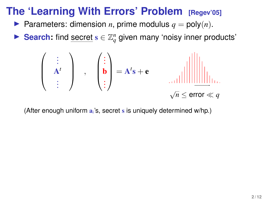- **Parameters:** dimension *n*, prime modulus  $q = \text{poly}(n)$ .
- ► Search: find secret  $s \in \mathbb{Z}_q^n$  given many 'noisy inner products'

$$
\left(\begin{array}{c}\n\vdots \\
A^t \\
\vdots\n\end{array}\right) ,\n\left(\begin{array}{c}\n\vdots \\
b \\
\vdots\n\end{array}\right) = A^t s + e \qquad \text{and} \qquad \text{and} \qquad \text{and} \qquad \text{and} \qquad \text{and} \qquad \text{and} \qquad \text{and} \qquad \text{and} \qquad \text{and} \qquad \text{and} \qquad \text{and} \qquad \text{and} \qquad \text{and} \qquad \text{and} \qquad \text{and} \qquad \text{and} \qquad \text{and} \qquad \text{and} \qquad \text{and} \qquad \text{and} \qquad \text{and} \qquad \text{and} \qquad \text{and} \qquad \text{and} \qquad \text{and} \qquad \text{and} \qquad \text{and} \qquad \text{and} \qquad \text{and} \qquad \text{and} \qquad \text{and} \qquad \text{and} \qquad \text{and} \qquad \text{and} \qquad \text{and} \qquad \text{and} \qquad \text{and} \qquad \text{and} \qquad \text{and} \qquad \text{and} \qquad \text{and} \qquad \text{and} \qquad \text{and} \qquad \text{and} \qquad \text{and} \qquad \text{and} \qquad \text{and} \qquad \text{and} \qquad \text{and} \qquad \text{and} \qquad \text{and} \qquad \text{and} \qquad \text{and} \qquad \text{and} \qquad \text{and} \qquad \text{and} \qquad \text{and} \qquad \text{and} \qquad \text{and} \qquad \text{and} \qquad \text{and} \qquad \text{and} \qquad \text{and} \qquad \text{and} \qquad \text{and} \qquad \text{and} \qquad \text{and} \qquad \text{and} \qquad \text{and} \qquad \text{and} \qquad \text{and} \qquad \text{and} \qquad \text{and} \qquad \text{and} \qquad \text{and} \qquad \text{and} \qquad \text{and} \qquad \text{and} \qquad \text{and} \qquad \text{and} \qquad \text{and} \qquad \text{and} \qquad \text{and} \qquad \text{and} \qquad \text{and} \qquad \text{and} \qquad \text{
$$

(After enough uniform a*i*'s, secret s is uniquely determined w/hp.)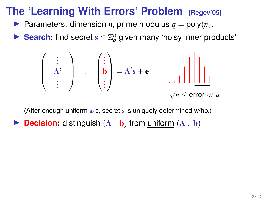- **Parameters: dimension** *n***, prime modulus**  $q = \text{poly}(n)$ **.**
- ► Search: find secret  $s \in \mathbb{Z}_q^n$  given many 'noisy inner products'

$$
\left(\begin{array}{c}\n\vdots \\
A^t \\
\vdots\n\end{array}\right) ,\n\left(\begin{array}{c}\n\vdots \\
b \\
\vdots\n\end{array}\right) = A^t s + e \qquad \text{and} \qquad \text{and} \qquad \text{and} \qquad \text{and} \qquad \text{and} \qquad \text{and} \qquad \text{and} \qquad \text{and} \qquad \text{and} \qquad \text{and} \qquad \text{and} \qquad \text{and} \qquad \text{and} \qquad \text{and} \qquad \text{and} \qquad \text{and} \qquad \text{and} \qquad \text{and} \qquad \text{and} \qquad \text{and} \qquad \text{and} \qquad \text{and} \qquad \text{and} \qquad \text{and} \qquad \text{and} \qquad \text{and} \qquad \text{and} \qquad \text{and} \qquad \text{and} \qquad \text{and} \qquad \text{and} \qquad \text{and} \qquad \text{and} \qquad \text{and} \qquad \text{and} \qquad \text{and} \qquad \text{and} \qquad \text{and} \qquad \text{and} \qquad \text{and} \qquad \text{and} \qquad \text{and} \qquad \text{and} \qquad \text{and} \qquad \text{and} \qquad \text{and} \qquad \text{and} \qquad \text{and} \qquad \text{and} \qquad \text{and} \qquad \text{and} \qquad \text{and} \qquad \text{and} \qquad \text{and} \qquad \text{and} \qquad \text{and} \qquad \text{and} \qquad \text{and} \qquad \text{and} \qquad \text{and} \qquad \text{and} \qquad \text{and} \qquad \text{and} \qquad \text{and} \qquad \text{and} \qquad \text{and} \qquad \text{and} \qquad \text{and} \qquad \text{and} \qquad \text{and} \qquad \text{and} \qquad \text{and} \qquad \text{and} \qquad \text{and} \qquad \text{and} \qquad \text{and} \qquad \text{and} \qquad \text{and} \qquad \text{and} \qquad \text{and} \qquad \text{and} \qquad \text{and} \qquad \text{and} \qquad \text{and} \qquad \text{and} \qquad \text{and} \qquad \text{
$$

(After enough uniform a*i*'s, secret s is uniquely determined w/hp.)

**Decision:** distinguish  $(A, b)$  from uniform  $(A, b)$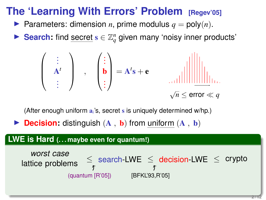- **Parameters:** dimension *n*, prime modulus  $q = \text{poly}(n)$ .
- ► Search: find secret  $s \in \mathbb{Z}_q^n$  given many 'noisy inner products'

 . . . A *t* . . . , . . . b . . . <sup>=</sup> <sup>A</sup> *t* s + e √ *n* ≤ error *q*

(After enough uniform a*i*'s, secret s is uniquely determined w/hp.)

**Decision:** distinguish  $(A, b)$  from uniform  $(A, b)$ 

#### **LWE is Hard (. . . maybe even for quantum!)**

*worst case*  
lattice problems 
$$
\leq
$$
 search-LWE  $\leq$  decision-LWE  $\leq$  crypto  
(quantum [R'05]) [BFKL'93,R'05]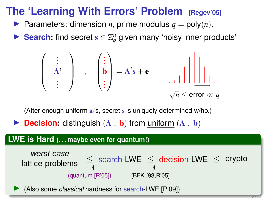- **Parameters:** dimension *n*, prime modulus  $q = \text{poly}(n)$ .
- ► Search: find secret  $s \in \mathbb{Z}_q^n$  given many 'noisy inner products'

 . . . A *t* . . . , . . . b . . . <sup>=</sup> <sup>A</sup> *t* s + e √ *n* ≤ error *q*

(After enough uniform a*i*'s, secret s is uniquely determined w/hp.)

**Decision:** distinguish  $(A, b)$  from uniform  $(A, b)$ 

#### **LWE is Hard (. . . maybe even for quantum!)**

*worst case*  
lattice problems 
$$
\leq
$$
 search-LWE  $\leq$  decision-LWE  $\leq$  crypto  
(quantum [R'05]) [BFKL'93,R'05]

I (Also some *classical* hardness for search-LWE [P'09])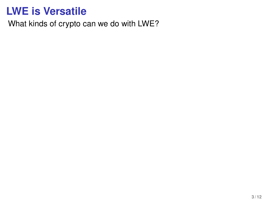What kinds of crypto can we do with LWE?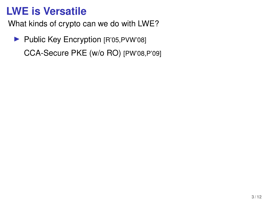What kinds of crypto can we do with LWE?

▶ Public Key Encryption [R'05,PVW'08] CCA-Secure PKE (w/o RO) [PW'08,P'09]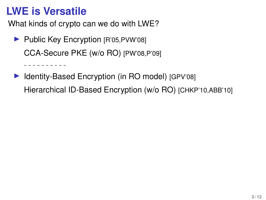. <u>. . . . . . . . .</u>

What kinds of crypto can we do with LWE?

- ▶ Public Key Encryption [R'05, PVW'08] CCA-Secure PKE (w/o RO) [PW'08,P'09]
- ▶ Identity-Based Encryption (in RO model) [GPV'08] Hierarchical ID-Based Encryption (w/o RO) [CHKP'10,ABB'10]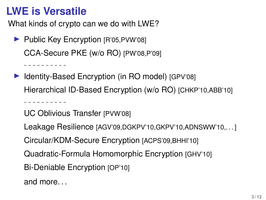. . . . . . . . . .

. <u>. . . . . . . . .</u>

What kinds of crypto can we do with LWE?

- ▶ Public Key Encryption [R'05,PVW'08] CCA-Secure PKE (w/o RO) [PW'08,P'09]
- ▶ Identity-Based Encryption (in RO model) [GPV'08] Hierarchical ID-Based Encryption (w/o RO) [CHKP'10,ABB'10]

UC Oblivious Transfer [PVW'08]

Leakage Resilience [AGV'09,DGKPV'10,GKPV'10,ADNSWW'10,. . . ]

Circular/KDM-Secure Encryption [ACPS'09,BHHI'10]

Quadratic-Formula Homomorphic Encryption [GHV'10]

Bi-Deniable Encryption [OP'10]

and more. . .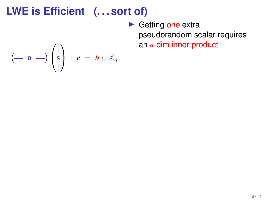$\blacktriangleright$  Getting one extra pseudorandom scalar requires an *n*-dim inner product

$$
(-\mathbf{a} -)\begin{pmatrix} | \\ \mathbf{s} \\ | \end{pmatrix} + e = b \in \mathbb{Z}_q
$$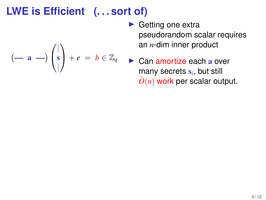$+ e = b \in \mathbb{Z}_q$ 

 $(-a -)$ 

 $\sqrt{ }$  $\mathcal{L}$ 

| s |

 $\setminus$ 

- $\blacktriangleright$  Getting one extra pseudorandom scalar requires an *n*-dim inner product
- $\triangleright$  Can amortize each a over many secrets s*<sup>i</sup>* , but still  $O(n)$  work per scalar output.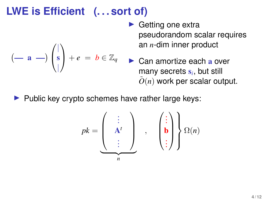$$
(-\mathbf{a} -)\begin{pmatrix} | \\ \mathbf{s} \\ | \end{pmatrix} + e = b \in \mathbb{Z}_q
$$

- $\blacktriangleright$  Getting one extra pseudorandom scalar requires an *n*-dim inner product
- $\triangleright$  Can amortize each a over many secrets s*<sup>i</sup>* , but still  $O(n)$  work per scalar output.
- $\blacktriangleright$  Public key crypto schemes have rather large keys:

$$
pk = \underbrace{\begin{pmatrix} \vdots \\ A^t \\ \vdots \end{pmatrix}}_{n}, \quad \begin{pmatrix} \vdots \\ b \\ \vdots \end{pmatrix} \begin{pmatrix} 0 \\ \Omega(n) \end{pmatrix}
$$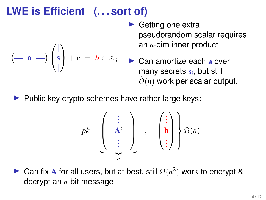$$
(-\mathbf{a} -)\begin{pmatrix} | \\ \mathbf{s} \\ | \end{pmatrix} + e = b \in \mathbb{Z}_q
$$

- $\blacktriangleright$  Getting one extra pseudorandom scalar requires an *n*-dim inner product
- $\triangleright$  Can amortize each a over many secrets s*<sup>i</sup>* , but still  $O(n)$  work per scalar output.
- $\blacktriangleright$  Public key crypto schemes have rather large keys:

$$
pk = \underbrace{\begin{pmatrix} \vdots & \vdots & \vdots \\ A^t & \vdots & \vdots \end{pmatrix}}_{n} , \quad \left(\begin{pmatrix} \vdots \\ \mathbf{b} \\ \vdots \end{pmatrix} \right) \Omega(n)
$$

► Can fix A for all users, but at best, still  $\tilde{\Omega}(n^2)$  work to encrypt & decrypt an *n*-bit message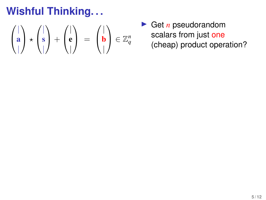$$
\begin{pmatrix} | \\ \mathbf{a} \\ | \end{pmatrix} \star \begin{pmatrix} | \\ \mathbf{s} \\ | \end{pmatrix} + \begin{pmatrix} | \\ \mathbf{e} \\ | \end{pmatrix} = \begin{pmatrix} | \\ \mathbf{b} \\ | \end{pmatrix} \in \mathbb{Z}_q^n
$$

**In Get** *n* pseudorandom scalars from just one (cheap) product operation?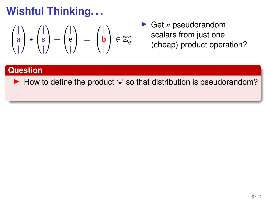$$
\begin{pmatrix} | \\ \mathbf{a} \\ | \end{pmatrix} \star \begin{pmatrix} | \\ \mathbf{s} \\ | \end{pmatrix} + \begin{pmatrix} | \\ \mathbf{e} \\ | \end{pmatrix} = \begin{pmatrix} | \\ \mathbf{b} \\ | \end{pmatrix} \in \mathbb{Z}_q^n
$$

 $\blacktriangleright$  Get *n* pseudorandom scalars from just one (cheap) product operation?

#### **Question**

 $\blacktriangleright$  How to define the product ' $\star$ ' so that distribution is pseudorandom?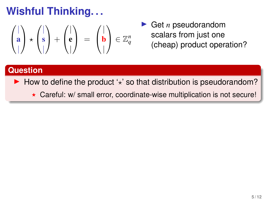$$
\begin{pmatrix} | \\ \mathbf{a} \\ | \end{pmatrix} \star \begin{pmatrix} | \\ \mathbf{s} \\ | \end{pmatrix} + \begin{pmatrix} | \\ \mathbf{e} \\ | \end{pmatrix} = \begin{pmatrix} | \\ \mathbf{b} \\ | \end{pmatrix} \in \mathbb{Z}_q^n
$$

► Get *n* pseudorandom scalars from just one (cheap) product operation?

### **Question**

- $\blacktriangleright$  How to define the product ' $\star$ ' so that distribution is pseudorandom?
	- $\star$  Careful: w/ small error, coordinate-wise multiplication is not secure!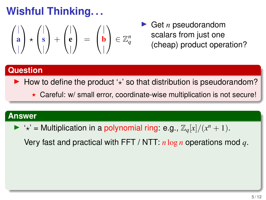$$
\begin{pmatrix} | \\ \mathbf{a} \\ | \end{pmatrix} \star \begin{pmatrix} | \\ \mathbf{s} \\ | \end{pmatrix} + \begin{pmatrix} | \\ \mathbf{e} \\ | \end{pmatrix} = \begin{pmatrix} | \\ \mathbf{b} \\ | \end{pmatrix} \in \mathbb{Z}_q^n
$$

Get *n* pseudorandom scalars from just one (cheap) product operation?

### **Question**

- $\blacktriangleright$  How to define the product ' $\star$ ' so that distribution is pseudorandom?
	- $\star$  Careful: w/ small error, coordinate-wise multiplication is not secure!

#### **Answer**

 $\blacktriangleright$  ' $\star$ ' = Multiplication in a polynomial ring: e.g.,  $\mathbb{Z}_q[x]/(x^n + 1)$ .

Very fast and practical with FFT / NTT: *n* log *n* operations mod *q*.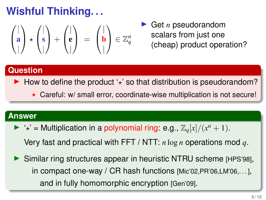$$
\begin{pmatrix} | \\ \mathbf{a} \\ | \end{pmatrix} \star \begin{pmatrix} | \\ \mathbf{s} \\ | \end{pmatrix} + \begin{pmatrix} | \\ \mathbf{e} \\ | \end{pmatrix} = \begin{pmatrix} | \\ \mathbf{b} \\ | \end{pmatrix} \in \mathbb{Z}_q^n
$$

Get *n* pseudorandom scalars from just one (cheap) product operation?

### **Question**

 $\blacktriangleright$  How to define the product ' $\star$ ' so that distribution is pseudorandom?

 $\star$  Careful: w/ small error, coordinate-wise multiplication is not secure!

#### **Answer**

- $\blacktriangleright$  ' $\star$ ' = Multiplication in a polynomial ring: e.g.,  $\mathbb{Z}_q[x]/(x^n + 1)$ . Very fast and practical with FFT / NTT: *n* log *n* operations mod *q*.
- $\triangleright$  Similar ring structures appear in heuristic NTRU scheme [HPS'98], in compact one-way / CR hash functions [Mic'02,PR'06,LM'06,. . . ], and in fully homomorphic encryption [Gen'09].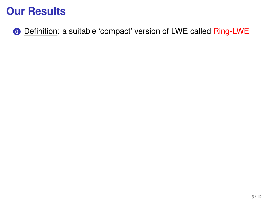**0** Definition: a suitable 'compact' version of LWE called Ring-LWE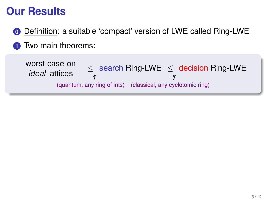**0** Definition: a suitable 'compact' version of LWE called Ring-LWE **1** Two main theorems:

worst case on search Ring-LWE ≤ decision Ring-LWE *ideal* lattices  $\overrightarrow{f}$ 亇 (quantum, any ring of ints) (classical, any cyclotomic ring)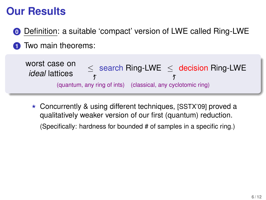**0** Definition: a suitable 'compact' version of LWE called Ring-LWE **1** Two main theorems:

worst case on search Ring-LWE ≤ decision Ring-LWE *ideal* lattices  $\overrightarrow{f}$ 亇 (quantum, any ring of ints) (classical, any cyclotomic ring)

 $\star$  Concurrently & using different techniques, [SSTX'09] proved a qualitatively weaker version of our first (quantum) reduction. (Specifically: hardness for bounded # of samples in a specific ring.)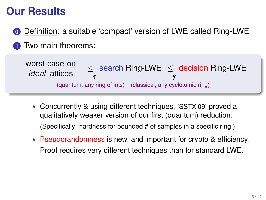**0** Definition: a suitable 'compact' version of LWE called Ring-LWE **1** Two main theorems:

worst case on search Ring-LWE ≤ decision Ring-LWE *ideal* lattices  $\overrightarrow{f}$ 亇 (quantum, any ring of ints) (classical, any cyclotomic ring)

- $\star$  Concurrently & using different techniques, [SSTX'09] proved a qualitatively weaker version of our first (quantum) reduction. (Specifically: hardness for bounded # of samples in a specific ring.)
- $\star$  Pseudorandomness is new, and important for crypto & efficiency. Proof requires very different techniques than for standard LWE.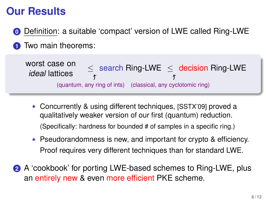**0** Definition: a suitable 'compact' version of LWE called Ring-LWE **1** Two main theorems:

worst case on *ideal* lattices  $\overrightarrow{f}$ (quantum, any ring of ints) (classical, any cyclotomic ring) search Ring-LWE ≤ decision Ring-LWE

- $\star$  Concurrently & using different techniques, [SSTX'09] proved a qualitatively weaker version of our first (quantum) reduction. (Specifically: hardness for bounded # of samples in a specific ring.)
- $\star$  Pseudorandomness is new, and important for crypto & efficiency. Proof requires very different techniques than for standard LWE.
- **2** A 'cookbook' for porting LWE-based schemes to Ring-LWE, plus an entirely new & even more efficient PKE scheme.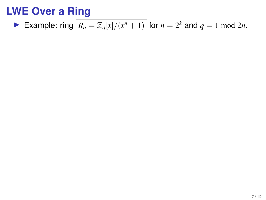**Example:** ring 
$$
\boxed{R_q = \mathbb{Z}_q[x]/(x^n + 1)}
$$
 for  $n = 2^k$  and  $q = 1 \mod 2n$ .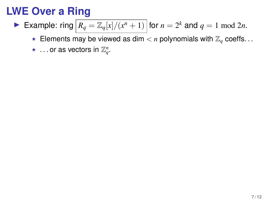- Example: ring  $\boxed{R_q = \mathbb{Z}_q[x]/(x^n + 1)}$  for  $n = 2^k$  and  $q = 1 \mod 2n$ .
	- Filter Elements may be viewed as dim  $\lt n$  polynomials with  $\mathbb{Z}_q$  coeffs...
	- $\star$  ... or as vectors in  $\mathbb{Z}_q^n$ .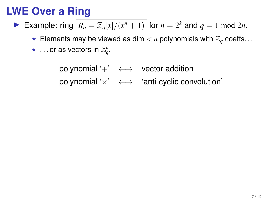- Example: ring  $\boxed{R_q = \mathbb{Z}_q[x]/(x^n + 1)}$  for  $n = 2^k$  and  $q = 1 \mod 2n$ .
	- Figure 1.5 Figure 1.5  $\times$  *n* polynomials with  $\mathbb{Z}_a$  coeffs...
	- $\star$  ... or as vectors in  $\mathbb{Z}_q^n$ .

polynomial  $^{\prime}$  +  $\leftrightarrow$  vector addition polynomial ' $\times$ '  $\longleftrightarrow$  'anti-cyclic convolution'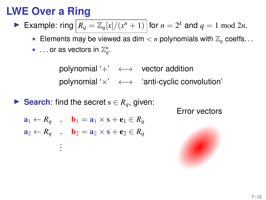- Example: ring  $\boxed{R_q = \mathbb{Z}_q[x]/(x^n + 1)}$  for  $n = 2^k$  and  $q = 1 \mod 2n$ .
	- Figure 1.5 Figure 1.5  $\times$  *n* polynomials with  $\mathbb{Z}_a$  coeffs...
	- $\star$  ... or as vectors in  $\mathbb{Z}_q^n$ .

polynomial  $^{\prime}$  +  $\leftrightarrow$  vector addition polynomial ' $\times$ '  $\longleftrightarrow$  'anti-cyclic convolution'

► Search: find the secret  $s \in R_q$ , given:

Error vectors

$$
\mathbf{a}_1 \leftarrow R_q \quad , \quad \mathbf{b}_1 = \mathbf{a}_1 \times \mathbf{s} + \mathbf{e}_1 \in R_q
$$

$$
\mathbf{a}_2 \leftarrow R_q \quad , \quad \mathbf{b}_2 = \mathbf{a}_2 \times \mathbf{s} + \mathbf{e}_2 \in R_q
$$

. . .

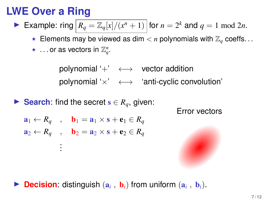- Example: ring  $\boxed{R_q = \mathbb{Z}_q[x]/(x^n + 1)}$  for  $n = 2^k$  and  $q = 1 \mod 2n$ .
	- Figure 1.5 Figure 1.5  $\times$  *n* polynomials with  $\mathbb{Z}_a$  coeffs...
	- $\star$  ... or as vectors in  $\mathbb{Z}_q^n$ .

polynomial  $^{\prime}$  +  $\leftrightarrow$  vector addition polynomial ' $\times$ '  $\longleftrightarrow$  'anti-cyclic convolution'

► Search: find the secret  $s \in R_q$ , given:

Error vectors

$$
\mathbf{a}_1 \leftarrow R_q \quad , \quad \mathbf{b}_1 = \mathbf{a}_1 \times \mathbf{s} + \mathbf{e}_1 \in R_q
$$

 $\mathbf{a}_2 \leftarrow R_q$ ,  $\mathbf{b}_2 = \mathbf{a}_2 \times \mathbf{s} + \mathbf{e}_2 \in R_q$ 

. . .



**Decision:** distinguish  $(a_i, b_i)$  from uniform  $(a_i, b_i)$ .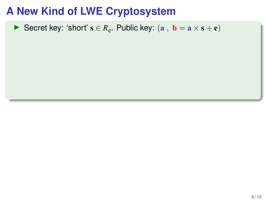Secret key: 'short'  $s \in R_q$ . Public key:  $(a, b = a \times s + e)$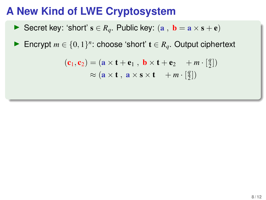Secret key: 'short'  $s \in R_q$ . Public key:  $(a, b = a \times s + e)$ 

**►** Encrypt  $m \in \{0, 1\}^n$ : choose 'short'  $t \in R_q$ . Output ciphertext

$$
(\mathbf{c}_1, \mathbf{c}_2) = (\mathbf{a} \times \mathbf{t} + \mathbf{e}_1, \ \mathbf{b} \times \mathbf{t} + \mathbf{e}_2 + m \cdot \left[\frac{q}{2}\right])
$$

$$
\approx (\mathbf{a} \times \mathbf{t}, \ \mathbf{a} \times \mathbf{s} \times \mathbf{t} + m \cdot \left[\frac{q}{2}\right])
$$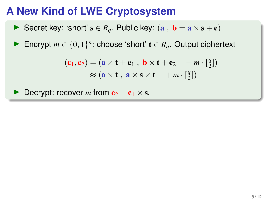Secret key: 'short'  $s \in R_q$ . Public key:  $(a, b = a \times s + e)$ 

**►** Encrypt  $m \in \{0, 1\}^n$ : choose 'short'  $t \in R_q$ . Output ciphertext

$$
(\mathbf{c}_1, \mathbf{c}_2) = (\mathbf{a} \times \mathbf{t} + \mathbf{e}_1, \ \mathbf{b} \times \mathbf{t} + \mathbf{e}_2 + m \cdot \left[\frac{q}{2}\right])
$$

$$
\approx (\mathbf{a} \times \mathbf{t}, \ \mathbf{a} \times \mathbf{s} \times \mathbf{t} + m \cdot \left[\frac{q}{2}\right])
$$

**Decrypt:** recover *m* from  $c_2 - c_1 \times s$ .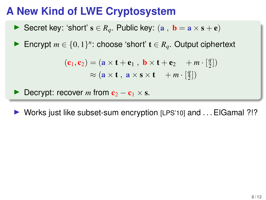Secret key: 'short'  $s \in R_a$ . Public key:  $(a, b = a \times s + e)$ 

**►** Encrypt  $m \in \{0, 1\}^n$ : choose 'short'  $t \in R_q$ . Output ciphertext

$$
(\mathbf{c}_1, \mathbf{c}_2) = (\mathbf{a} \times \mathbf{t} + \mathbf{e}_1, \ \mathbf{b} \times \mathbf{t} + \mathbf{e}_2 + m \cdot \left[\frac{q}{2}\right])
$$

$$
\approx (\mathbf{a} \times \mathbf{t}, \ \mathbf{a} \times \mathbf{s} \times \mathbf{t} + m \cdot \left[\frac{q}{2}\right])
$$

**Decrypt:** recover *m* from  $c_2 - c_1 \times s$ .

 $\triangleright$  Works just like subset-sum encryption [LPS'10] and ... ElGamal ?!?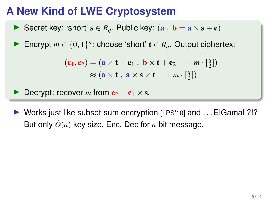Secret key: 'short'  $s \in R_a$ . Public key:  $(a, b = a \times s + e)$ 

**►** Encrypt  $m \in \{0, 1\}^n$ : choose 'short'  $t \in R_q$ . Output ciphertext

$$
(\mathbf{c}_1, \mathbf{c}_2) = (\mathbf{a} \times \mathbf{t} + \mathbf{e}_1, \ \mathbf{b} \times \mathbf{t} + \mathbf{e}_2 + m \cdot \left[\frac{q}{2}\right])
$$

$$
\approx (\mathbf{a} \times \mathbf{t}, \ \mathbf{a} \times \mathbf{s} \times \mathbf{t} + m \cdot \left[\frac{q}{2}\right])
$$

Decrypt: recover *m* from  $c_2 - c_1 \times s$ .

 $\triangleright$  Works just like subset-sum encryption [LPS'10] and ... ElGamal ?!? But only  $\tilde{O}(n)$  key size, Enc, Dec for *n*-bit message.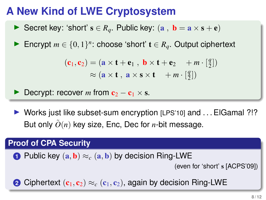Secret key: 'short'  $s \in R_a$ . Public key:  $(a, b = a \times s + e)$ 

**►** Encrypt  $m \in \{0, 1\}^n$ : choose 'short'  $t \in R_q$ . Output ciphertext

$$
(\mathbf{c}_1, \mathbf{c}_2) = (\mathbf{a} \times \mathbf{t} + \mathbf{e}_1, \ \mathbf{b} \times \mathbf{t} + \mathbf{e}_2 + m \cdot \left[\frac{q}{2}\right])
$$

$$
\approx (\mathbf{a} \times \mathbf{t}, \ \mathbf{a} \times \mathbf{s} \times \mathbf{t} + m \cdot \left[\frac{q}{2}\right])
$$

**Decrypt:** recover *m* from  $c_2 - c_1 \times s$ .

 $\triangleright$  Works just like subset-sum encryption [LPS'10] and ... ElGamal ?!? But only  $\tilde{O}(n)$  key size, Enc, Dec for *n*-bit message.

#### **Proof of CPA Security**

**1** Public key  $(a, b) \approx_c (a, b)$  by decision Ring-LWE

(even for 'short' s [ACPS'09])

**2** Ciphertext  $(c_1, c_2) \approx_c (c_1, c_2)$ , again by decision Ring-LWE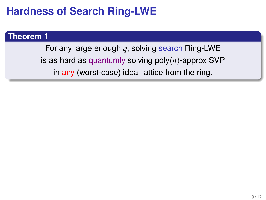## **Hardness of Search Ring-LWE**

#### **Theorem 1**

For any large enough *q*, solving search Ring-LWE is as hard as quantumly solving poly(*n*)-approx SVP in any (worst-case) ideal lattice from the ring.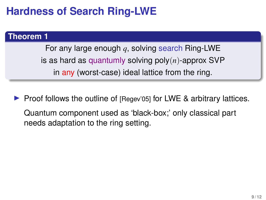# **Hardness of Search Ring-LWE**

#### **Theorem 1**

For any large enough *q*, solving search Ring-LWE is as hard as quantumly solving poly(*n*)-approx SVP in any (worst-case) ideal lattice from the ring.

 $\triangleright$  Proof follows the outline of [Regev'05] for LWE & arbitrary lattices. Quantum component used as 'black-box;' only classical part needs adaptation to the ring setting.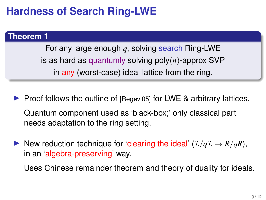# **Hardness of Search Ring-LWE**

#### **Theorem 1**

For any large enough *q*, solving search Ring-LWE is as hard as quantumly solving poly(*n*)-approx SVP in any (worst-case) ideal lattice from the ring.

- $\triangleright$  Proof follows the outline of [Regev'05] for LWE & arbitrary lattices. Quantum component used as 'black-box;' only classical part needs adaptation to the ring setting.
- ▶ New reduction technique for 'clearing the ideal'  $(\mathcal{I}/q\mathcal{I} \mapsto R/qR)$ , in an 'algebra-preserving' way.

Uses Chinese remainder theorem and theory of duality for ideals.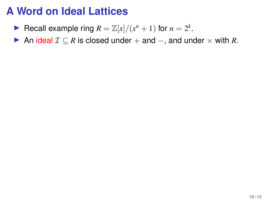- Recall example ring  $R = \mathbb{Z}[x]/(x^n + 1)$  for  $n = 2^k$ .
- An ideal  $\mathcal{I} \subseteq R$  is closed under  $+$  and  $-$ , and under  $\times$  with R.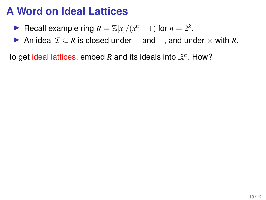- Recall example ring  $R = \mathbb{Z}[x]/(x^n + 1)$  for  $n = 2^k$ .
- An ideal  $\mathcal{I} \subseteq R$  is closed under  $+$  and  $-$ , and under  $\times$  with R.

To get ideal lattices, embed R and its ideals into  $\mathbb{R}^n$ . How?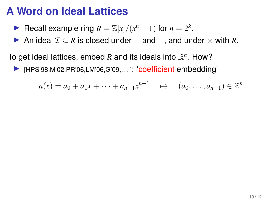- Recall example ring  $R = \mathbb{Z}[x]/(x^n + 1)$  for  $n = 2^k$ .
- An ideal  $\mathcal{I} \subseteq R$  is closed under  $+$  and  $-$ , and under  $\times$  with R.

To get ideal lattices, embed  $R$  and its ideals into  $\mathbb{R}^n$ . How?

IHPS'98, M'02, PR'06, LM'06, G'09, ... ]: 'coefficient embedding'

$$
a(x) = a_0 + a_1x + \dots + a_{n-1}x^{n-1} \rightarrow (a_0, \dots, a_{n-1}) \in \mathbb{Z}^n
$$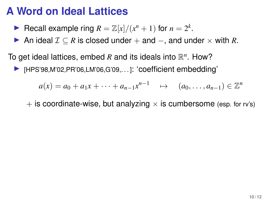- Recall example ring  $R = \mathbb{Z}[x]/(x^n + 1)$  for  $n = 2^k$ .
- An ideal  $\mathcal{I} \subseteq R$  is closed under  $+$  and  $-$ , and under  $\times$  with R.

To get ideal lattices, embed  $R$  and its ideals into  $\mathbb{R}^n$ . How?

I [HPS'98,M'02,PR'06,LM'06,G'09,...]: 'coefficient embedding'

$$
a(x) = a_0 + a_1x + \dots + a_{n-1}x^{n-1} \rightarrow (a_0, \dots, a_{n-1}) \in \mathbb{Z}^n
$$

 $+$  is coordinate-wise, but analyzing  $\times$  is cumbersome (esp. for ry's)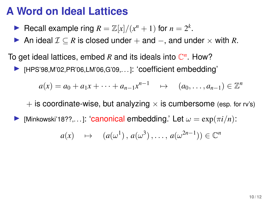- Recall example ring  $R = \mathbb{Z}[x]/(x^n + 1)$  for  $n = 2^k$ .
- An ideal  $\mathcal{I} \subseteq R$  is closed under  $+$  and  $-$ , and under  $\times$  with R.

To get ideal lattices, embed R and its ideals into  $\mathbb{C}^n$ . How?

I FILM [HPS'98, M'02, PR'06, LM'06, G'09,... ]: 'coefficient embedding'

$$
a(x) = a_0 + a_1x + \dots + a_{n-1}x^{n-1} \rightarrow (a_0, \dots, a_{n-1}) \in \mathbb{Z}^n
$$

 $+$  is coordinate-wise, but analyzing  $\times$  is cumbersome (esp. for rv's)

[Minkowski'18??,...]: 'canonical embedding.' Let  $\omega = \exp(\pi i/n)$ :

$$
a(x) \rightarrow (a(\omega^1), a(\omega^3), \ldots, a(\omega^{2n-1})) \in \mathbb{C}^n
$$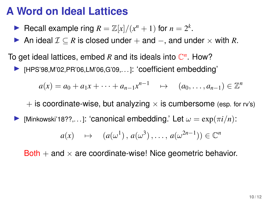- Recall example ring  $R = \mathbb{Z}[x]/(x^n + 1)$  for  $n = 2^k$ .
- An ideal  $\mathcal{I} \subseteq R$  is closed under  $+$  and  $-$ , and under  $\times$  with R.

To get ideal lattices, embed R and its ideals into  $\mathbb{C}^n$ . How?

I FILM [HPS'98, M'02, PR'06, LM'06, G'09,... ]: 'coefficient embedding'

$$
a(x) = a_0 + a_1x + \dots + a_{n-1}x^{n-1} \rightarrow (a_0, \dots, a_{n-1}) \in \mathbb{Z}^n
$$

 $+$  is coordinate-wise, but analyzing  $\times$  is cumbersome (esp. for rv's)

[Minkowski'18??,...]: 'canonical embedding.' Let  $\omega = \exp(\pi i/n)$ :

$$
a(x) \rightarrow (a(\omega^1), a(\omega^3), \ldots, a(\omega^{2n-1})) \in \mathbb{C}^n
$$

Both  $+$  and  $\times$  are coordinate-wise! Nice geometric behavior.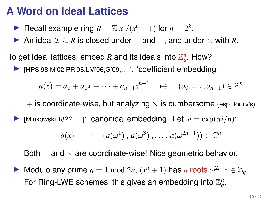- Recall example ring  $R = \mathbb{Z}[x]/(x^n + 1)$  for  $n = 2^k$ .
- An ideal  $\mathcal{I} \subseteq R$  is closed under  $+$  and  $-$ , and under  $\times$  with R.

To get ideal lattices, embed  $R$  and its ideals into  $\mathbb{Z}_q^n$ . How?

IFIPS'98,M'02,PR'06,LM'06,G'09,...]: 'coefficient embedding'

$$
a(x) = a_0 + a_1x + \dots + a_{n-1}x^{n-1} \rightarrow (a_0, \dots, a_{n-1}) \in \mathbb{Z}^n
$$

 $+$  is coordinate-wise, but analyzing  $\times$  is cumbersome (esp. for rv's)

Iminkowski'18??,...]: 'canonical embedding.' Let  $\omega = \exp(\pi i/n)$ :

$$
a(x) \rightarrow (a(\omega^1), a(\omega^3), \ldots, a(\omega^{2n-1})) \in \mathbb{C}^n
$$

Both  $+$  and  $\times$  are coordinate-wise! Nice geometric behavior.

► Modulo any prime  $q = 1 \mod 2n$ ,  $(x^n + 1)$  has *n* roots  $\omega^{2i-1} \in \mathbb{Z}_q$ . For Ring-LWE schemes, this gives an embedding into  $\mathbb{Z}_q^n$ .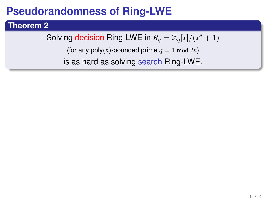### **Theorem 2**

Solving decision Ring-LWE in  $R_q = \mathbb{Z}_q[x]/(x^n + 1)$ 

(for any  $poly(n)$ -bounded prime  $q = 1 \text{ mod } 2n$ )

is as hard as solving search Ring-LWE.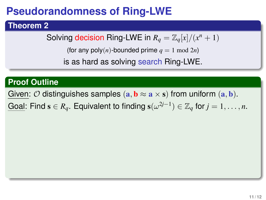### **Theorem 2**

Solving decision Ring-LWE in  $R_q = \mathbb{Z}_q[x]/(x^n + 1)$ 

(for any poly $(n)$ -bounded prime  $q = 1 \mod 2n$ )

is as hard as solving search Ring-LWE.

#### **Proof Outline**

Given:  $\mathcal O$  distinguishes samples  $(a, b \approx a \times s)$  from uniform  $(a, b)$ .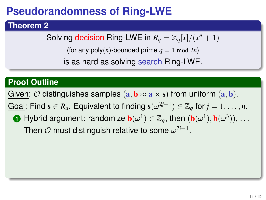### **Theorem 2**

Solving decision Ring-LWE in  $R_q = \mathbb{Z}_q[x]/(x^n + 1)$ 

(for any poly $(n)$ -bounded prime  $q = 1 \mod 2n$ )

is as hard as solving search Ring-LWE.

### **Proof Outline**

Given:  $\mathcal O$  distinguishes samples  $(a, b \approx a \times s)$  from uniform  $(a, b)$ .

Goal: Find  $s \in R_q$ . Equivalent to finding  $s(\omega^{2j-1}) \in \mathbb{Z}_q$  for  $j = 1, \ldots, n$ .

**1** Hybrid argument: randomize  $\mathbf{b}(\omega^1) \in \mathbb{Z}_q$ , then  $(\mathbf{b}(\omega^1), \mathbf{b}(\omega^3)), \ldots$ Then  $\mathcal O$  must distinguish relative to some  $\omega^{2i-1}$ .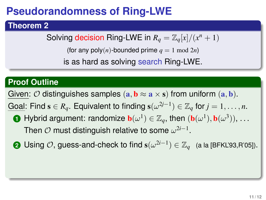### **Theorem 2**

Solving decision Ring-LWE in  $R_q = \mathbb{Z}_q[x]/(x^n + 1)$ 

(for any poly $(n)$ -bounded prime  $q = 1 \mod 2n$ )

is as hard as solving search Ring-LWE.

### **Proof Outline**

Given:  $\mathcal O$  distinguishes samples  $(\mathbf a, \mathbf b \approx \mathbf a \times \mathbf s)$  from uniform  $(\mathbf a, \mathbf b)$ .

- **1** Hybrid argument: randomize  $\mathbf{b}(\omega^1) \in \mathbb{Z}_q$ , then  $(\mathbf{b}(\omega^1), \mathbf{b}(\omega^3)), \ldots$ Then  $\mathcal O$  must distinguish relative to some  $\omega^{2i-1}$ .
- **2** Using  $\mathcal{O}$ , guess-and-check to find  $\mathbf{s}(\omega^{2i-1}) \in \mathbb{Z}_q$  (a la [BFKL'93,R'05]).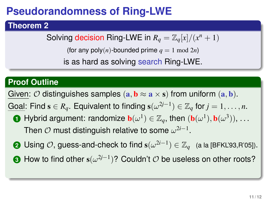### **Theorem 2**

Solving decision Ring-LWE in  $R_q = \mathbb{Z}_q[x]/(x^n + 1)$ 

(for any  $poly(n)$ -bounded prime  $q = 1 \text{ mod } 2n$ )

is as hard as solving search Ring-LWE.

### **Proof Outline**

Given:  $\mathcal O$  distinguishes samples  $(a, b \approx a \times s)$  from uniform  $(a, b)$ .

- **1** Hybrid argument: randomize  $\mathbf{b}(\omega^1) \in \mathbb{Z}_q$ , then  $(\mathbf{b}(\omega^1), \mathbf{b}(\omega^3)), \ldots$ Then  $\mathcal O$  must distinguish relative to some  $\omega^{2i-1}$ .
- **2** Using  $\mathcal{O}$ , guess-and-check to find  $\mathbf{s}(\omega^{2i-1}) \in \mathbb{Z}_q$  (a la [BFKL'93,R'05]).
- **3** How to find other s(ω 2*j*−1 )? Couldn't O be useless on other roots?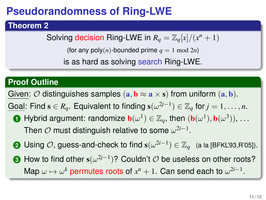### **Theorem 2**

Solving decision Ring-LWE in  $R_q = \mathbb{Z}_q[x]/(x^n + 1)$ 

(for any  $poly(n)$ -bounded prime  $q = 1 \text{ mod } 2n$ )

is as hard as solving search Ring-LWE.

### **Proof Outline**

Given:  $\mathcal O$  distinguishes samples  $(\mathbf a, \mathbf b \approx \mathbf a \times \mathbf s)$  from uniform  $(\mathbf a, \mathbf b)$ .

- **1** Hybrid argument: randomize  $\mathbf{b}(\omega^1) \in \mathbb{Z}_q$ , then  $(\mathbf{b}(\omega^1), \mathbf{b}(\omega^3)), \ldots$ Then  $\mathcal O$  must distinguish relative to some  $\omega^{2i-1}$ .
- **2** Using  $\mathcal{O}$ , guess-and-check to find  $\mathbf{s}(\omega^{2i-1}) \in \mathbb{Z}_q$  (a la [BFKL'93,R'05]).
- **3** How to find other s(ω 2*j*−1 )? Couldn't O be useless on other roots? Map  $\omega \mapsto \omega^k$  permutes roots of  $x^n + 1$ . Can send each to  $\omega^{2i-1}$ .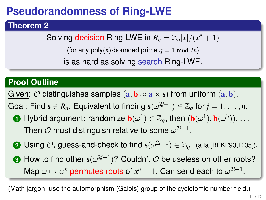### **Theorem 2**

Solving decision Ring-LWE in  $R_q = \mathbb{Z}_q[x]/(x^n + 1)$ 

(for any poly $(n)$ -bounded prime  $q = 1 \mod 2n$ )

is as hard as solving search Ring-LWE.

### **Proof Outline**

Given:  $\mathcal O$  distinguishes samples  $(\mathbf a, \mathbf b \approx \mathbf a \times \mathbf s)$  from uniform  $(\mathbf a, \mathbf b)$ .

Goal: Find  $s \in R_q$ . Equivalent to finding  $s(\omega^{2j-1}) \in \mathbb{Z}_q$  for  $j = 1, \ldots, n$ .

- **1** Hybrid argument: randomize  $\mathbf{b}(\omega^1) \in \mathbb{Z}_q$ , then  $(\mathbf{b}(\omega^1), \mathbf{b}(\omega^3)), \ldots$ Then  $\mathcal O$  must distinguish relative to some  $\omega^{2i-1}$ .
- **2** Using  $\mathcal{O}$ , guess-and-check to find  $\mathbf{s}(\omega^{2i-1}) \in \mathbb{Z}_q$  (a la [BFKL'93,R'05]).
- **3** How to find other s(ω 2*j*−1 )? Couldn't O be useless on other roots? Map  $\omega \mapsto \omega^k$  permutes roots of  $x^n + 1$ . Can send each to  $\omega^{2i-1}$ .

(Math jargon: use the automorphism (Galois) group of the cyclotomic number field.)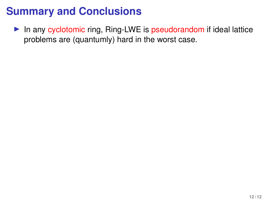$\blacktriangleright$  In any cyclotomic ring, Ring-LWE is pseudorandom if ideal lattice problems are (quantumly) hard in the worst case.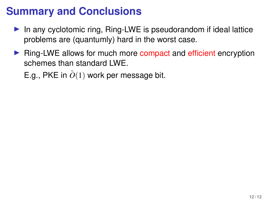- $\triangleright$  In any cyclotomic ring, Ring-LWE is pseudorandom if ideal lattice problems are (quantumly) hard in the worst case.
- **F** Ring-LWE allows for much more compact and efficient encryption schemes than standard LWE.

E.g., PKE in  $\tilde{O}(1)$  work per message bit.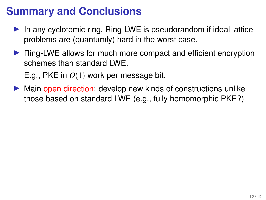- In any cyclotomic ring, Ring-LWE is pseudorandom if ideal lattice problems are (quantumly) hard in the worst case.
- $\triangleright$  Ring-LWE allows for much more compact and efficient encryption schemes than standard LWF.

E.g., PKE in  $\tilde{O}(1)$  work per message bit.

 $\triangleright$  Main open direction: develop new kinds of constructions unlike those based on standard LWE (e.g., fully homomorphic PKE?)